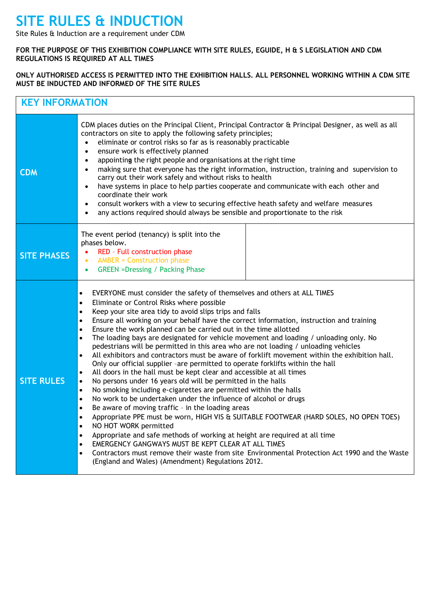## **SITE RULES & INDUCTION**

Site Rules & Induction are a requirement under CDM

## **FOR THE PURPOSE OF THIS EXHIBITION COMPLIANCE WITH SITE RULES, EGUIDE, H & S LEGISLATION AND CDM REGULATIONS IS REQUIRED AT ALL TIMES**

## **ONLY AUTHORISED ACCESS IS PERMITTED INTO THE EXHIBITION HALLS. ALL PERSONNEL WORKING WITHIN A CDM SITE MUST BE INDUCTED AND INFORMED OF THE SITE RULES**

| <b>KEY INFORMATION</b> |                                                                                                                                                                                                                                                                                                                                                                                                                                                                                                                                                                                                                                                                                                                                                                                                                                                                                                                                                                                                                                                                                                                                                                                                                                                                                                                                                                                                                                                                                                                                                                                                                                                                                         |  |
|------------------------|-----------------------------------------------------------------------------------------------------------------------------------------------------------------------------------------------------------------------------------------------------------------------------------------------------------------------------------------------------------------------------------------------------------------------------------------------------------------------------------------------------------------------------------------------------------------------------------------------------------------------------------------------------------------------------------------------------------------------------------------------------------------------------------------------------------------------------------------------------------------------------------------------------------------------------------------------------------------------------------------------------------------------------------------------------------------------------------------------------------------------------------------------------------------------------------------------------------------------------------------------------------------------------------------------------------------------------------------------------------------------------------------------------------------------------------------------------------------------------------------------------------------------------------------------------------------------------------------------------------------------------------------------------------------------------------------|--|
| <b>CDM</b>             | CDM places duties on the Principal Client, Principal Contractor & Principal Designer, as well as all<br>contractors on site to apply the following safety principles;<br>eliminate or control risks so far as is reasonably practicable<br>$\bullet$<br>ensure work is effectively planned<br>$\bullet$<br>appointing the right people and organisations at the right time<br>$\bullet$<br>making sure that everyone has the right information, instruction, training and supervision to<br>$\bullet$<br>carry out their work safely and without risks to health<br>have systems in place to help parties cooperate and communicate with each other and<br>$\bullet$<br>coordinate their work<br>consult workers with a view to securing effective heath safety and welfare measures<br>$\bullet$<br>any actions required should always be sensible and proportionate to the risk<br>$\bullet$                                                                                                                                                                                                                                                                                                                                                                                                                                                                                                                                                                                                                                                                                                                                                                                          |  |
| <b>SITE PHASES</b>     | The event period (tenancy) is split into the<br>phases below.<br>RED - Full construction phase<br>$\bullet$<br><b>AMBER = Construction phase</b><br>$\bullet$<br><b>GREEN =Dressing / Packing Phase</b><br>$\bullet$                                                                                                                                                                                                                                                                                                                                                                                                                                                                                                                                                                                                                                                                                                                                                                                                                                                                                                                                                                                                                                                                                                                                                                                                                                                                                                                                                                                                                                                                    |  |
| <b>SITE RULES</b>      | EVERYONE must consider the safety of themselves and others at ALL TIMES<br>$\bullet$<br>Eliminate or Control Risks where possible<br>$\bullet$<br>Keep your site area tidy to avoid slips trips and falls<br>$\bullet$<br>Ensure all working on your behalf have the correct information, instruction and training<br>$\bullet$<br>Ensure the work planned can be carried out in the time allotted<br>$\bullet$<br>The loading bays are designated for vehicle movement and loading / unloading only. No<br>$\bullet$<br>pedestrians will be permitted in this area who are not loading / unloading vehicles<br>All exhibitors and contractors must be aware of forklift movement within the exhibition hall.<br>$\bullet$<br>Only our official supplier -are permitted to operate forklifts within the hall<br>All doors in the hall must be kept clear and accessible at all times<br>$\bullet$<br>No persons under 16 years old will be permitted in the halls<br>$\bullet$<br>No smoking including e-cigarettes are permitted within the halls<br>$\bullet$<br>No work to be undertaken under the influence of alcohol or drugs<br>$\bullet$<br>Be aware of moving traffic - in the loading areas<br>$\bullet$<br>Appropriate PPE must be worn, HIGH VIS & SUITABLE FOOTWEAR (HARD SOLES, NO OPEN TOES)<br>$\bullet$<br>NO HOT WORK permitted<br>$\bullet$<br>Appropriate and safe methods of working at height are required at all time<br>٠<br>EMERGENCY GANGWAYS MUST BE KEPT CLEAR AT ALL TIMES<br>$\bullet$<br>Contractors must remove their waste from site Environmental Protection Act 1990 and the Waste<br>$\bullet$<br>(England and Wales) (Amendment) Regulations 2012. |  |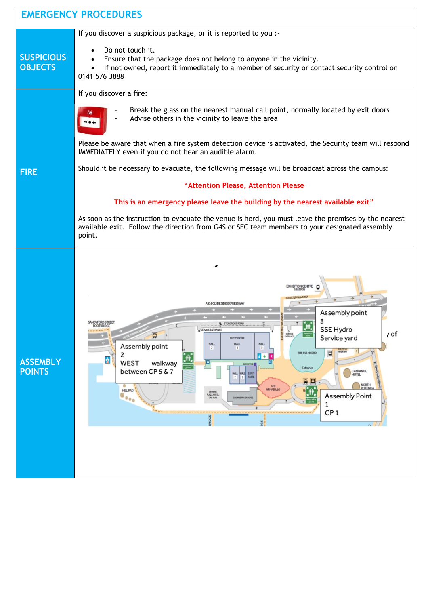| <b>EMERGENCY PROCEDURES</b>         |                                                                                                                                                                                                                                                                                                                                                                                                                                                                                                                                                                                                                                                                                                                                                                               |
|-------------------------------------|-------------------------------------------------------------------------------------------------------------------------------------------------------------------------------------------------------------------------------------------------------------------------------------------------------------------------------------------------------------------------------------------------------------------------------------------------------------------------------------------------------------------------------------------------------------------------------------------------------------------------------------------------------------------------------------------------------------------------------------------------------------------------------|
| <b>SUSPICIOUS</b><br><b>OBJECTS</b> | If you discover a suspicious package, or it is reported to you :-<br>Do not touch it.<br>Ensure that the package does not belong to anyone in the vicinity.<br>If not owned, report it immediately to a member of security or contact security control on<br>0141 576 3888                                                                                                                                                                                                                                                                                                                                                                                                                                                                                                    |
| <b>FIRE</b>                         | If you discover a fire:<br>Break the glass on the nearest manual call point, normally located by exit doors<br>Advise others in the vicinity to leave the area<br>Please be aware that when a fire system detection device is activated, the Security team will respond<br>IMMEDIATELY even if you do not hear an audible alarm.<br>Should it be necessary to evacuate, the following message will be broadcast across the campus:<br>"Attention Please, Attention Please<br>This is an emergency please leave the building by the nearest available exit"<br>As soon as the instruction to evacuate the venue is herd, you must leave the premises by the nearest<br>available exit. Follow the direction from G4S or SEC team members to your designated assembly<br>point. |
| <b>ASSEMBLY</b><br><b>POINTS</b>    | o<br><b>EXHIBITION CENTRE</b><br>A814 CLYDE SIDE EXPRESSWA<br>Assembly point<br>3<br><b>INDYFORD STREE</b><br><b>STOBCROSS ROA</b><br><b>FOOTBRIDGE</b><br>SSE Hydro<br>y of<br>SERVICE<br>ENTRANC<br>Ξ<br>Service yard<br><b>SEC CENTRE</b><br><b>HALL</b><br><b>HALL</b><br><b>HALL</b><br>Assembly point<br><b>WALKWAY</b><br>Ξ<br>THE SSE HYDRO<br>$\mathbf{r}$ + $\mathbf{r}$<br>à<br><b>WEST</b><br>E<br>walkway<br>sou om ct<br>Entrance<br>between CP 5 & 7<br>CAMPANILE<br>HOTEL<br>HALL LOCH<br>$\frac{HALL}{2}$<br>a<br>NORTH<br>ROTUNDA<br>۰<br>SEC<br>ARMADILLO<br><b>HELIPAD</b><br>CROWNE<br>FLAZA HOTEL<br><b>Assembly Point</b><br>$\bullet \bullet \bullet$<br>CROWNE PLAZA HOTEL<br><b>CAR FAIDE</b><br>1<br>CP <sub>1</sub><br>IDGE<br>3DK<br>$\epsilon$  |